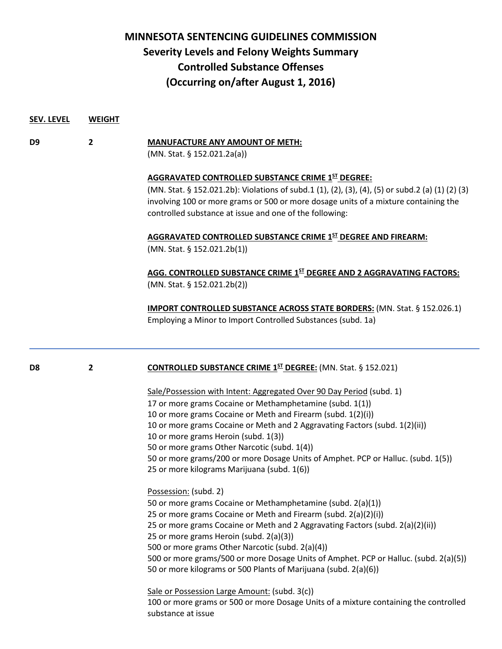## **MINNESOTA SENTENCING GUIDELINES COMMISSION Severity Levels and Felony Weights Summary Controlled Substance Offenses (Occurring on/after August 1, 2016)**

**SEV. LEVEL WEIGHT**

| D9             | 2            | <b>MANUFACTURE ANY AMOUNT OF METH:</b><br>(MN. Stat. § 152.021.2a(a))<br><b>AGGRAVATED CONTROLLED SUBSTANCE CRIME 1ST DEGREE:</b><br>(MN. Stat. § 152.021.2b): Violations of subd.1 (1), (2), (3), (4), (5) or subd.2 (a) (1) (2) (3)<br>involving 100 or more grams or 500 or more dosage units of a mixture containing the<br>controlled substance at issue and one of the following:                                                                                                                                             |  |  |
|----------------|--------------|-------------------------------------------------------------------------------------------------------------------------------------------------------------------------------------------------------------------------------------------------------------------------------------------------------------------------------------------------------------------------------------------------------------------------------------------------------------------------------------------------------------------------------------|--|--|
|                |              |                                                                                                                                                                                                                                                                                                                                                                                                                                                                                                                                     |  |  |
|                |              | AGG. CONTROLLED SUBSTANCE CRIME 1ST DEGREE AND 2 AGGRAVATING FACTORS:<br>(MN. Stat. § 152.021.2b(2))                                                                                                                                                                                                                                                                                                                                                                                                                                |  |  |
|                |              | <b>IMPORT CONTROLLED SUBSTANCE ACROSS STATE BORDERS:</b> (MN. Stat. § 152.026.1)<br>Employing a Minor to Import Controlled Substances (subd. 1a)                                                                                                                                                                                                                                                                                                                                                                                    |  |  |
| D <sub>8</sub> | $\mathbf{2}$ | <b>CONTROLLED SUBSTANCE CRIME 1ST DEGREE:</b> (MN. Stat. § 152.021)                                                                                                                                                                                                                                                                                                                                                                                                                                                                 |  |  |
|                |              | Sale/Possession with Intent: Aggregated Over 90 Day Period (subd. 1)<br>17 or more grams Cocaine or Methamphetamine (subd. 1(1))<br>10 or more grams Cocaine or Meth and Firearm (subd. 1(2)(i))<br>10 or more grams Cocaine or Meth and 2 Aggravating Factors (subd. 1(2)(ii))<br>10 or more grams Heroin (subd. 1(3))<br>50 or more grams Other Narcotic (subd. 1(4))<br>50 or more grams/200 or more Dosage Units of Amphet. PCP or Halluc. (subd. 1(5))<br>25 or more kilograms Marijuana (subd. 1(6))<br>Possession: (subd. 2) |  |  |
|                |              | 50 or more grams Cocaine or Methamphetamine (subd. 2(a)(1))<br>25 or more grams Cocaine or Meth and Firearm (subd. 2(a)(2)(i))<br>25 or more grams Cocaine or Meth and 2 Aggravating Factors (subd. 2(a)(2)(ii))<br>25 or more grams Heroin (subd. 2(a)(3))<br>500 or more grams Other Narcotic (subd. 2(a)(4))<br>500 or more grams/500 or more Dosage Units of Amphet. PCP or Halluc. (subd. 2(a)(5))<br>50 or more kilograms or 500 Plants of Marijuana (subd. 2(a)(6))                                                          |  |  |
|                |              | Sale or Possession Large Amount: (subd. 3(c))<br>100 or more grams or 500 or more Dosage Units of a mixture containing the controlled<br>substance at issue                                                                                                                                                                                                                                                                                                                                                                         |  |  |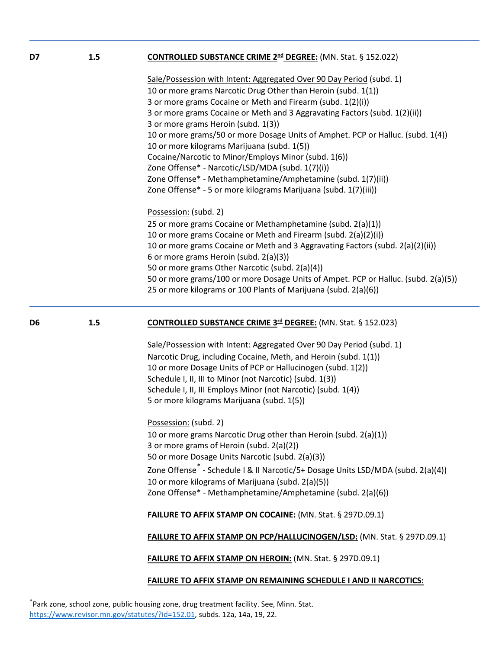| D7             | 1.5 | <b>CONTROLLED SUBSTANCE CRIME 2<sup>nd</sup> DEGREE:</b> (MN. Stat. § 152.022)                                                        |
|----------------|-----|---------------------------------------------------------------------------------------------------------------------------------------|
|                |     | Sale/Possession with Intent: Aggregated Over 90 Day Period (subd. 1)<br>10 or more grams Narcotic Drug Other than Heroin (subd. 1(1)) |
|                |     | 3 or more grams Cocaine or Meth and Firearm (subd. 1(2)(i))                                                                           |
|                |     | 3 or more grams Cocaine or Meth and 3 Aggravating Factors (subd. 1(2)(ii))                                                            |
|                |     | 3 or more grams Heroin (subd. 1(3))                                                                                                   |
|                |     | 10 or more grams/50 or more Dosage Units of Amphet. PCP or Halluc. (subd. 1(4))<br>10 or more kilograms Marijuana (subd. 1(5))        |
|                |     | Cocaine/Narcotic to Minor/Employs Minor (subd. 1(6))                                                                                  |
|                |     | Zone Offense* - Narcotic/LSD/MDA (subd. 1(7)(i))                                                                                      |
|                |     | Zone Offense* - Methamphetamine/Amphetamine (subd. 1(7)(ii))<br>Zone Offense* - 5 or more kilograms Marijuana (subd. 1(7)(iii))       |
|                |     | Possession: (subd. 2)                                                                                                                 |
|                |     | 25 or more grams Cocaine or Methamphetamine (subd. 2(a)(1))                                                                           |
|                |     | 10 or more grams Cocaine or Meth and Firearm (subd. 2(a)(2)(i))                                                                       |
|                |     | 10 or more grams Cocaine or Meth and 3 Aggravating Factors (subd. 2(a)(2)(ii))                                                        |
|                |     | 6 or more grams Heroin (subd. 2(a)(3))                                                                                                |
|                |     | 50 or more grams Other Narcotic (subd. 2(a)(4))                                                                                       |
|                |     | 50 or more grams/100 or more Dosage Units of Ampet. PCP or Halluc. (subd. 2(a)(5))                                                    |
|                |     | 25 or more kilograms or 100 Plants of Marijuana (subd. 2(a)(6))                                                                       |
|                |     |                                                                                                                                       |
|                | 1.5 | <b>CONTROLLED SUBSTANCE CRIME 3rd DEGREE:</b> (MN. Stat. § 152.023)                                                                   |
|                |     | Sale/Possession with Intent: Aggregated Over 90 Day Period (subd. 1)                                                                  |
| D <sub>6</sub> |     | Narcotic Drug, including Cocaine, Meth, and Heroin (subd. 1(1))                                                                       |
|                |     | 10 or more Dosage Units of PCP or Hallucinogen (subd. 1(2))                                                                           |
|                |     | Schedule I, II, III to Minor (not Narcotic) (subd. 1(3))                                                                              |
|                |     | Schedule I, II, III Employs Minor (not Narcotic) (subd. 1(4))                                                                         |
|                |     | 5 or more kilograms Marijuana (subd. 1(5))                                                                                            |
|                |     | Possession: (subd. 2)                                                                                                                 |
|                |     | 10 or more grams Narcotic Drug other than Heroin (subd. 2(a)(1))                                                                      |
|                |     | 3 or more grams of Heroin (subd. 2(a)(2))                                                                                             |
|                |     | 50 or more Dosage Units Narcotic (subd. 2(a)(3))                                                                                      |
|                |     | Zone Offense <sup>*</sup> - Schedule I & II Narcotic/5+ Dosage Units LSD/MDA (subd. 2(a)(4))                                          |
|                |     | 10 or more kilograms of Marijuana (subd. 2(a)(5))                                                                                     |
|                |     | Zone Offense* - Methamphetamine/Amphetamine (subd. 2(a)(6))                                                                           |
|                |     | FAILURE TO AFFIX STAMP ON COCAINE: (MN. Stat. § 297D.09.1)                                                                            |
|                |     | <b>FAILURE TO AFFIX STAMP ON PCP/HALLUCINOGEN/LSD: (MN. Stat. § 297D.09.1)</b>                                                        |

l

**FAILURE TO AFFIX STAMP ON REMAINING SCHEDULE I AND II NARCOTICS:**

<span id="page-1-0"></span><sup>\*</sup>Park zone, school zone, public housing zone, drug treatment facility. See, Minn. Stat. [https://www.revisor.mn.gov/statutes/?id=152.01,](https://www.revisor.mn.gov/statutes/?id=152.01) subds. 12a, 14a, 19, 22.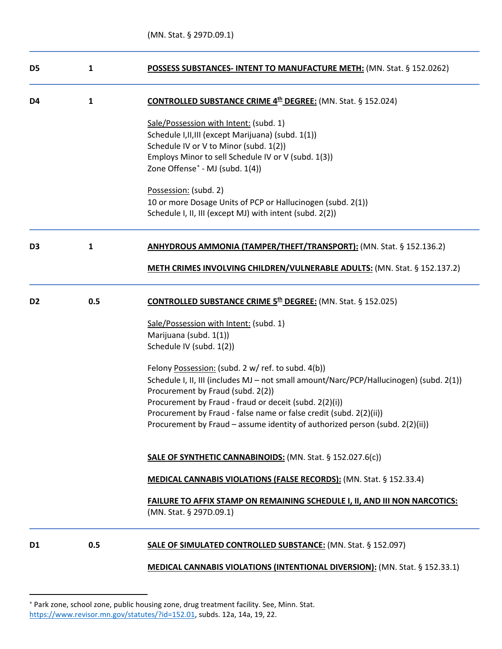| D <sub>5</sub> | $\mathbf{1}$ | POSSESS SUBSTANCES- INTENT TO MANUFACTURE METH: (MN. Stat. § 152.0262)                                                                             |
|----------------|--------------|----------------------------------------------------------------------------------------------------------------------------------------------------|
| D4             | $\mathbf{1}$ | <b>CONTROLLED SUBSTANCE CRIME 4th DEGREE:</b> (MN. Stat. § 152.024)                                                                                |
|                |              | Sale/Possession with Intent: (subd. 1)                                                                                                             |
|                |              | Schedule I, II, III (except Marijuana) (subd. 1(1))                                                                                                |
|                |              | Schedule IV or V to Minor (subd. 1(2))                                                                                                             |
|                |              | Employs Minor to sell Schedule IV or V (subd. 1(3))                                                                                                |
|                |              | Zone Offense* - MJ (subd. 1(4))                                                                                                                    |
|                |              | Possession: (subd. 2)                                                                                                                              |
|                |              | 10 or more Dosage Units of PCP or Hallucinogen (subd. 2(1))                                                                                        |
|                |              | Schedule I, II, III (except MJ) with intent (subd. 2(2))                                                                                           |
| D <sub>3</sub> | $\mathbf{1}$ | ANHYDROUS AMMONIA (TAMPER/THEFT/TRANSPORT): (MN. Stat. § 152.136.2)                                                                                |
|                |              |                                                                                                                                                    |
|                |              | METH CRIMES INVOLVING CHILDREN/VULNERABLE ADULTS: (MN. Stat. § 152.137.2)                                                                          |
| D <sub>2</sub> | 0.5          | <b>CONTROLLED SUBSTANCE CRIME 5th DEGREE:</b> (MN. Stat. § 152.025)                                                                                |
|                |              |                                                                                                                                                    |
|                |              | Sale/Possession with Intent: (subd. 1)                                                                                                             |
|                |              | Marijuana (subd. 1(1))<br>Schedule IV (subd. 1(2))                                                                                                 |
|                |              |                                                                                                                                                    |
|                |              | Felony Possession: (subd. 2 w/ ref. to subd. 4(b))                                                                                                 |
|                |              | Schedule I, II, III (includes MJ - not small amount/Narc/PCP/Hallucinogen) (subd. 2(1))                                                            |
|                |              | Procurement by Fraud (subd. 2(2))                                                                                                                  |
|                |              | Procurement by Fraud - fraud or deceit (subd. 2(2)(i))                                                                                             |
|                |              | Procurement by Fraud - false name or false credit (subd. 2(2)(ii))<br>Procurement by Fraud – assume identity of authorized person (subd. 2(2)(ii)) |
|                |              |                                                                                                                                                    |
|                |              | <b>SALE OF SYNTHETIC CANNABINOIDS:</b> (MN. Stat. § 152.027.6(c))                                                                                  |
|                |              | <b>MEDICAL CANNABIS VIOLATIONS (FALSE RECORDS):</b> (MN. Stat. § 152.33.4)                                                                         |
|                |              | <b>FAILURE TO AFFIX STAMP ON REMAINING SCHEDULE I, II, AND III NON NARCOTICS:</b>                                                                  |
|                |              | (MN. Stat. § 297D.09.1)                                                                                                                            |
| D <sub>1</sub> | 0.5          | <b>SALE OF SIMULATED CONTROLLED SUBSTANCE: (MN. Stat. § 152.097)</b>                                                                               |
|                |              | <b>MEDICAL CANNABIS VIOLATIONS (INTENTIONAL DIVERSION):</b> (MN. Stat. § 152.33.1)                                                                 |

l

<span id="page-2-0"></span><sup>∗</sup> Park zone, school zone, public housing zone, drug treatment facility. See, Minn. Stat. [https://www.revisor.mn.gov/statutes/?id=152.01,](https://www.revisor.mn.gov/statutes/?id=152.01) subds. 12a, 14a, 19, 22.